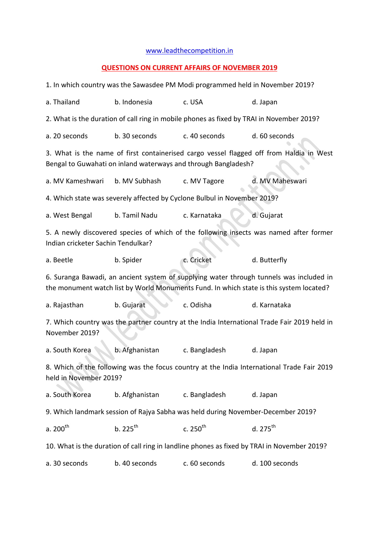## [www.leadthecompetition.in](http://www.leadthecompetition.in/)

## **QUESTIONS ON CURRENT AFFAIRS OF NOVEMBER 2019**

| 1. In which country was the Sawasdee PM Modi programmed held in November 2019?                                                                                                     |                |               |                 |  |  |  |  |  |
|------------------------------------------------------------------------------------------------------------------------------------------------------------------------------------|----------------|---------------|-----------------|--|--|--|--|--|
| a. Thailand                                                                                                                                                                        | b. Indonesia   | c. USA        | d. Japan        |  |  |  |  |  |
| 2. What is the duration of call ring in mobile phones as fixed by TRAI in November 2019?                                                                                           |                |               |                 |  |  |  |  |  |
| a. 20 seconds                                                                                                                                                                      | b. 30 seconds  | c. 40 seconds | d. 60 seconds   |  |  |  |  |  |
| 3. What is the name of first containerised cargo vessel flagged off from Haldia in West<br>Bengal to Guwahati on inland waterways and through Bangladesh?                          |                |               |                 |  |  |  |  |  |
| a. MV Kameshwari                                                                                                                                                                   | b. MV Subhash  | c. MV Tagore  | d. MV Maheswari |  |  |  |  |  |
| 4. Which state was severely affected by Cyclone Bulbul in November 2019?                                                                                                           |                |               |                 |  |  |  |  |  |
| a. West Bengal                                                                                                                                                                     | b. Tamil Nadu  | c. Karnataka  | d. Gujarat      |  |  |  |  |  |
| 5. A newly discovered species of which of the following insects was named after former<br>Indian cricketer Sachin Tendulkar?                                                       |                |               |                 |  |  |  |  |  |
| a. Beetle                                                                                                                                                                          | b. Spider      | c. Cricket    | d. Butterfly    |  |  |  |  |  |
| 6. Suranga Bawadi, an ancient system of supplying water through tunnels was included in<br>the monument watch list by World Monuments Fund. In which state is this system located? |                |               |                 |  |  |  |  |  |
| a. Rajasthan                                                                                                                                                                       | b. Gujarat     | c. Odisha     | d. Karnataka    |  |  |  |  |  |
| 7. Which country was the partner country at the India International Trade Fair 2019 held in<br>November 2019?                                                                      |                |               |                 |  |  |  |  |  |
| a. South Korea                                                                                                                                                                     | b. Afghanistan | c. Bangladesh | d. Japan        |  |  |  |  |  |
| 8. Which of the following was the focus country at the India International Trade Fair 2019<br>held in November 2019?                                                               |                |               |                 |  |  |  |  |  |
| a. South Korea                                                                                                                                                                     | b. Afghanistan | c. Bangladesh | d. Japan        |  |  |  |  |  |
| 9. Which landmark session of Rajya Sabha was held during November-December 2019?                                                                                                   |                |               |                 |  |  |  |  |  |
| a. $200^{\text{th}}$                                                                                                                                                               | $b.225^{th}$   | c. $250^{th}$ | $d. 275^{th}$   |  |  |  |  |  |
| 10. What is the duration of call ring in landline phones as fixed by TRAI in November 2019?                                                                                        |                |               |                 |  |  |  |  |  |
| a. 30 seconds                                                                                                                                                                      | b. 40 seconds  | c. 60 seconds | d. 100 seconds  |  |  |  |  |  |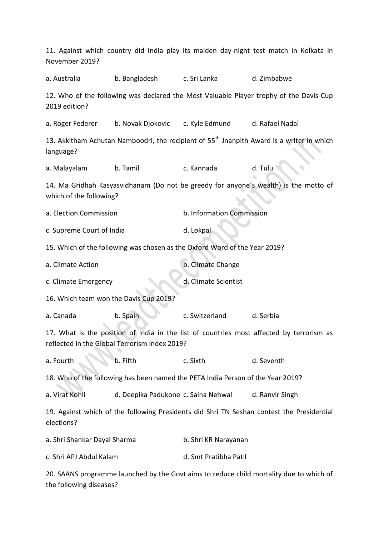| November 2019?                                                                                                                            |                                                                            |                                                  | 11. Against which country did India play its maiden day-night test match in Kolkata in    |  |  |  |
|-------------------------------------------------------------------------------------------------------------------------------------------|----------------------------------------------------------------------------|--------------------------------------------------|-------------------------------------------------------------------------------------------|--|--|--|
| a. Australia                                                                                                                              | b. Bangladesh                                                              | c. Sri Lanka                                     | d. Zimbabwe                                                                               |  |  |  |
| 2019 edition?                                                                                                                             |                                                                            |                                                  | 12. Who of the following was declared the Most Valuable Player trophy of the Davis Cup    |  |  |  |
| a. Roger Federer                                                                                                                          |                                                                            | b. Novak Djokovic c. Kyle Edmund d. Rafael Nadal |                                                                                           |  |  |  |
| 13. Akkitham Achutan Namboodri, the recipient of 55 <sup>th</sup> Jnanpith Award is a writer in which<br>language?                        |                                                                            |                                                  |                                                                                           |  |  |  |
| a. Malayalam                                                                                                                              | b. Tamil                                                                   | c. Kannada                                       | d. Tulu                                                                                   |  |  |  |
| which of the following?                                                                                                                   |                                                                            |                                                  | 14. Ma Gridhah Kasyasvidhanam (Do not be greedy for anyone's wealth) is the motto of      |  |  |  |
| a. Election Commission                                                                                                                    |                                                                            | b. Information Commission                        |                                                                                           |  |  |  |
| c. Supreme Court of India                                                                                                                 |                                                                            | d. Lokpal                                        |                                                                                           |  |  |  |
|                                                                                                                                           | 15. Which of the following was chosen as the Oxford Word of the Year 2019? |                                                  |                                                                                           |  |  |  |
| a. Climate Action                                                                                                                         |                                                                            | b. Climate Change                                |                                                                                           |  |  |  |
| c. Climate Emergency                                                                                                                      |                                                                            | d. Climate Scientist                             |                                                                                           |  |  |  |
| 16. Which team won the Davis Cup 2019?                                                                                                    |                                                                            |                                                  |                                                                                           |  |  |  |
| a. Canada                                                                                                                                 | b. Spain                                                                   | c. Switzerland                                   | d. Serbia                                                                                 |  |  |  |
| 17. What is the position of India in the list of countries most affected by terrorism as<br>reflected in the Global Terrorism Index 2019? |                                                                            |                                                  |                                                                                           |  |  |  |
| a. Fourth                                                                                                                                 | b. Fifth                                                                   | c. Sixth                                         | d. Seventh                                                                                |  |  |  |
| 18. Who of the following has been named the PETA India Person of the Year 2019?                                                           |                                                                            |                                                  |                                                                                           |  |  |  |
| a. Virat Kohli                                                                                                                            | d. Deepika Padukone c. Saina Nehwal                                        |                                                  | d. Ranvir Singh                                                                           |  |  |  |
| elections?                                                                                                                                |                                                                            |                                                  | 19. Against which of the following Presidents did Shri TN Seshan contest the Presidential |  |  |  |
| a. Shri Shankar Dayal Sharma                                                                                                              |                                                                            | b. Shri KR Narayanan                             |                                                                                           |  |  |  |
| c. Shri APJ Abdul Kalam                                                                                                                   |                                                                            | d. Smt Pratibha Patil                            |                                                                                           |  |  |  |
|                                                                                                                                           |                                                                            |                                                  | 20. SAANS programme launched by the Govt aims to reduce child mortality due to which of   |  |  |  |

the following diseases?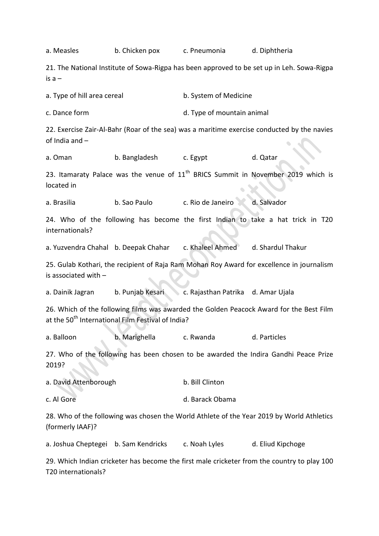a. Measles b. Chicken pox c. Pneumonia d. Diphtheria 21. The National Institute of Sowa-Rigpa has been approved to be set up in Leh. Sowa-Rigpa is  $a$ a. Type of hill area cereal b. System of Medicine c. Dance form d. Type of mountain animal 22. Exercise Zair-Al-Bahr (Roar of the sea) was a maritime exercise conducted by the navies of India and – a. Oman b. Bangladesh c. Egypt d. Qatar 23. Itamaraty Palace was the venue of  $11<sup>th</sup>$  BRICS Summit in November 2019 which is located in a. Brasilia b. Sao Paulo c. Rio de Janeiro d. Salvador 24. Who of the following has become the first Indian to take a hat trick in T20 internationals? a. Yuzvendra Chahal b. Deepak Chahar c. Khaleel Ahmed d. Shardul Thakur 25. Gulab Kothari, the recipient of Raja Ram Mohan Roy Award for excellence in journalism is associated with – a. Dainik Jagran b. Punjab Kesari c. Rajasthan Patrika d. Amar Ujala 26. Which of the following films was awarded the Golden Peacock Award for the Best Film at the 50<sup>th</sup> International Film Festival of India? a. Balloon b. Marighella c. Rwanda d. Particles 27. Who of the following has been chosen to be awarded the Indira Gandhi Peace Prize 2019? a. David Attenborough b. Bill Clinton c. Al Gore d. Barack Obama 28. Who of the following was chosen the World Athlete of the Year 2019 by World Athletics (formerly IAAF)? a. Joshua Cheptegei b. Sam Kendricks c. Noah Lyles d. Eliud Kipchoge 29. Which Indian cricketer has become the first male cricketer from the country to play 100 T20 internationals?